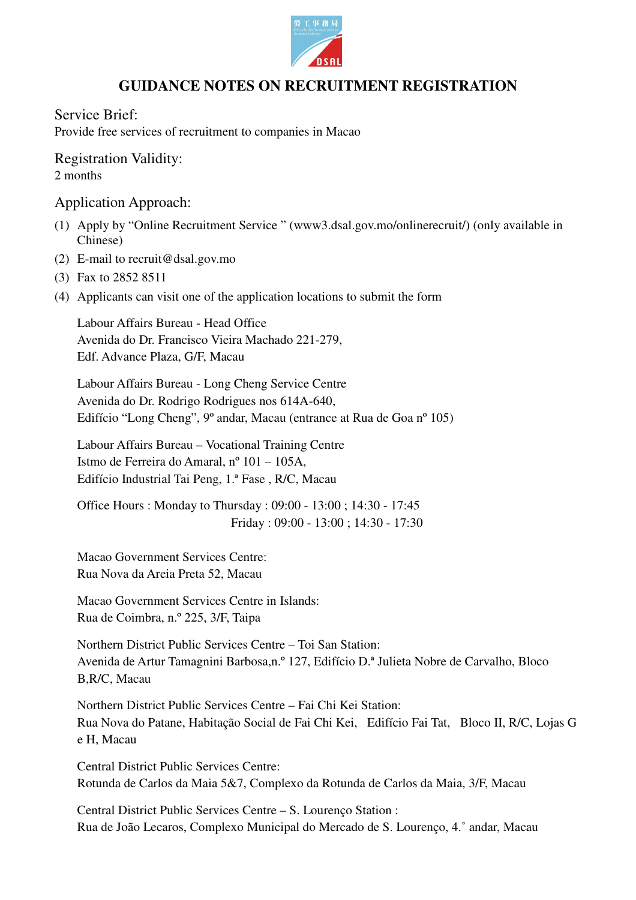

## **GUIDANCE NOTES ON RECRUITMENT REGISTRATION**

Service Brief:

Provide free services of recruitment to companies in Macao

Registration Validity: 2 months

Application Approach:

- (1) Apply by "Online Recruitment Service " (www3.dsal.gov.mo/onlinerecruit/) (only available in Chinese)
- (2) E-mail to recruit@dsal.gov.mo
- (3) Fax to 2852 8511
- (4) Applicants can visit one of the application locations to submit the form

Labour Affairs Bureau - Head Office Avenida do Dr. Francisco Vieira Machado 221-279, Edf. Advance Plaza, G/F, Macau

Labour Affairs Bureau - Long Cheng Service Centre Avenida do Dr. Rodrigo Rodrigues nos 614A-640, Edifício "Long Cheng", 9º andar, Macau (entrance at Rua de Goa nº 105)

Labour Affairs Bureau – Vocational Training Centre Istmo de Ferreira do Amaral, nº 101 – 105A, Edifício Industrial Tai Peng, 1.ª Fase , R/C, Macau

Office Hours : Monday to Thursday : 09:00 - 13:00 ; 14:30 - 17:45 Friday : 09:00 - 13:00 ; 14:30 - 17:30

Macao Government Services Centre: Rua Nova da Areia Preta 52, Macau

Macao Government Services Centre in Islands: Rua de Coimbra, n.º 225, 3/F, Taipa

Northern District Public Services Centre – Toi San Station: Avenida de Artur Tamagnini Barbosa,n.º 127, Edifício D.ª Julieta Nobre de Carvalho, Bloco B,R/C, Macau

Northern District Public Services Centre – Fai Chi Kei Station: Rua Nova do Patane, Habitação Social de Fai Chi Kei, Edifício Fai Tat, Bloco II, R/C, Lojas G e H, Macau

Central District Public Services Centre: Rotunda de Carlos da Maia 5&7, Complexo da Rotunda de Carlos da Maia, 3/F, Macau

Central District Public Services Centre – S. Lourenço Station : Rua de João Lecaros, Complexo Municipal do Mercado de S. Lourenço, 4.˚ andar, Macau